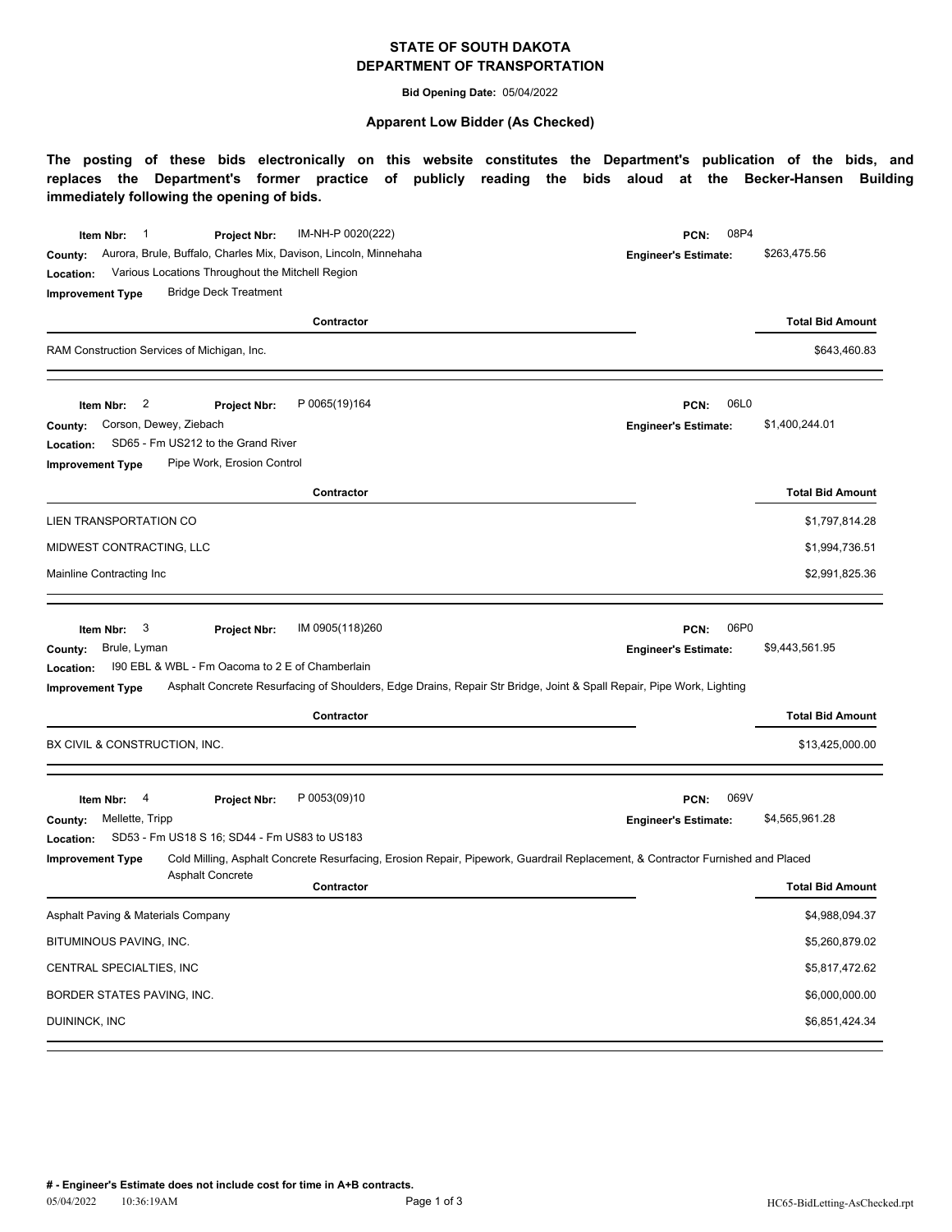## **STATE OF SOUTH DAKOTA DEPARTMENT OF TRANSPORTATION**

**Bid Opening Date:** 05/04/2022

#### **Apparent Low Bidder (As Checked)**

**The posting of these bids electronically on this website constitutes the Department's publication of the bids, and replaces the Department's former practice of publicly reading the bids aloud at the Becker-Hansen Building immediately following the opening of bids.**

| IM-NH-P 0020(222)<br>1<br>Item Nbr:<br>Project Nbr:<br>Aurora, Brule, Buffalo, Charles Mix, Davison, Lincoln, Minnehaha<br>County:<br>Various Locations Throughout the Mitchell Region<br>Location:<br><b>Bridge Deck Treatment</b><br><b>Improvement Type</b><br>Contractor                    | 08P4<br>PCN:<br><b>Engineer's Estimate:</b> | \$263,475.56<br><b>Total Bid Amount</b> |
|-------------------------------------------------------------------------------------------------------------------------------------------------------------------------------------------------------------------------------------------------------------------------------------------------|---------------------------------------------|-----------------------------------------|
| RAM Construction Services of Michigan, Inc.                                                                                                                                                                                                                                                     |                                             | \$643,460.83                            |
| P 0065(19)164<br>2<br>Item Nbr:<br><b>Project Nbr:</b><br>Corson, Dewey, Ziebach<br>County:<br>SD65 - Fm US212 to the Grand River<br>Location:<br>Pipe Work, Erosion Control<br><b>Improvement Type</b>                                                                                         | 06L0<br>PCN:<br><b>Engineer's Estimate:</b> | \$1,400,244.01                          |
| Contractor                                                                                                                                                                                                                                                                                      |                                             | <b>Total Bid Amount</b>                 |
| LIEN TRANSPORTATION CO                                                                                                                                                                                                                                                                          |                                             | \$1,797,814.28                          |
| MIDWEST CONTRACTING, LLC                                                                                                                                                                                                                                                                        |                                             | \$1,994,736.51                          |
| Mainline Contracting Inc                                                                                                                                                                                                                                                                        |                                             | \$2,991,825.36                          |
|                                                                                                                                                                                                                                                                                                 |                                             |                                         |
| IM 0905(118)260<br>3<br>Item Nbr:<br>Project Nbr:<br>Brule, Lyman<br>County:<br>190 EBL & WBL - Fm Oacoma to 2 E of Chamberlain<br>Location:<br>Asphalt Concrete Resurfacing of Shoulders, Edge Drains, Repair Str Bridge, Joint & Spall Repair, Pipe Work, Lighting<br><b>Improvement Type</b> | 06P0<br>PCN:<br><b>Engineer's Estimate:</b> | \$9,443,561.95                          |
| Contractor                                                                                                                                                                                                                                                                                      |                                             | <b>Total Bid Amount</b>                 |
| BX CIVIL & CONSTRUCTION, INC.                                                                                                                                                                                                                                                                   |                                             | \$13,425,000.00                         |
| P 0053(09)10<br>Item Nbr:<br>4<br>Project Nbr:<br>Mellette, Tripp<br>County:<br>SD53 - Fm US18 S 16; SD44 - Fm US83 to US183<br>Location:                                                                                                                                                       | 069V<br>PCN:<br><b>Engineer's Estimate:</b> | \$4,565,961.28                          |
| Cold Milling, Asphalt Concrete Resurfacing, Erosion Repair, Pipework, Guardrail Replacement, & Contractor Furnished and Placed<br><b>Improvement Type</b><br><b>Asphalt Concrete</b><br>Contractor                                                                                              |                                             | <b>Total Bid Amount</b>                 |
|                                                                                                                                                                                                                                                                                                 |                                             |                                         |
| Asphalt Paving & Materials Company<br>BITUMINOUS PAVING, INC.                                                                                                                                                                                                                                   |                                             | \$4,988,094.37                          |
| CENTRAL SPECIALTIES, INC                                                                                                                                                                                                                                                                        |                                             | \$5,260,879.02                          |
| BORDER STATES PAVING, INC.                                                                                                                                                                                                                                                                      |                                             | \$5,817,472.62<br>\$6,000,000.00        |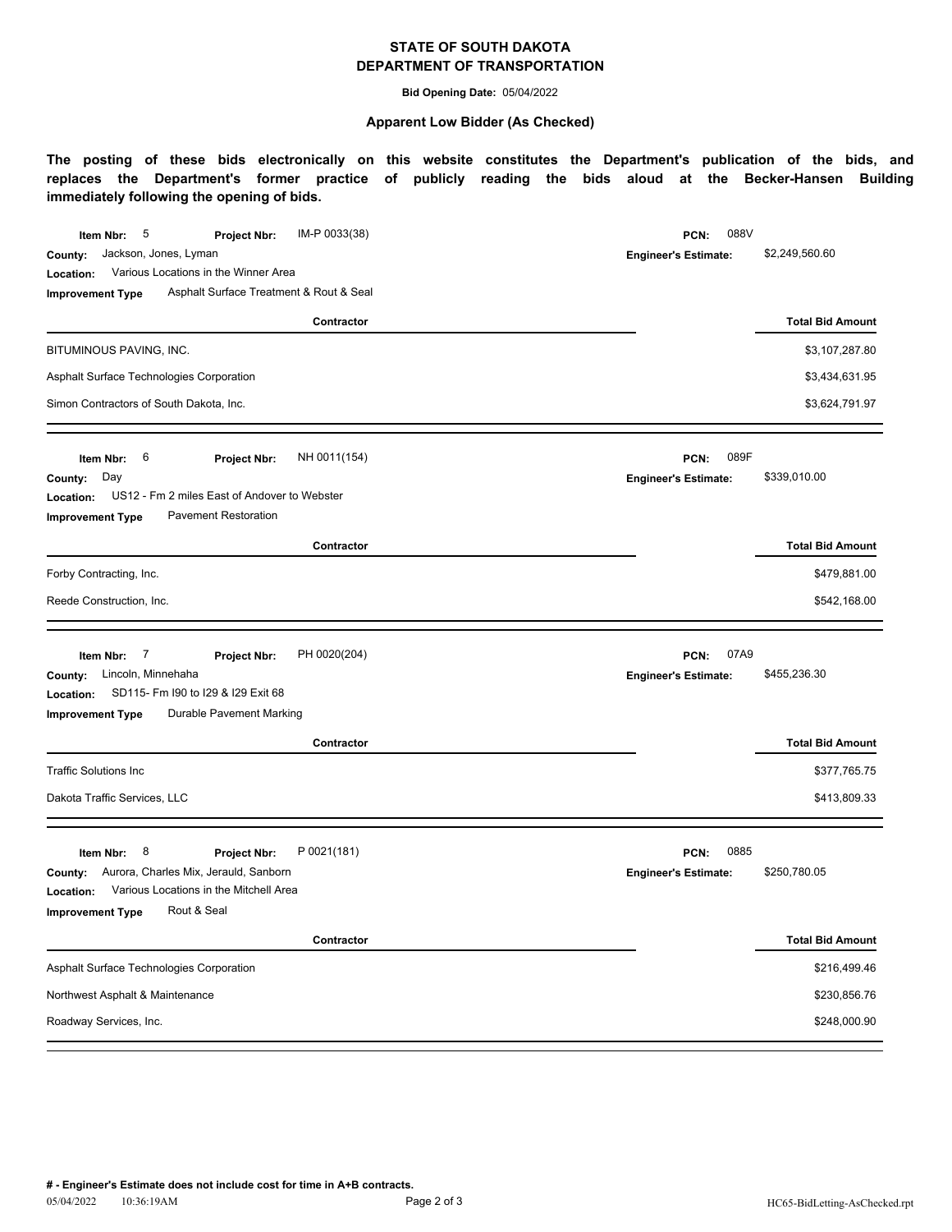## **STATE OF SOUTH DAKOTA DEPARTMENT OF TRANSPORTATION**

**Bid Opening Date:** 05/04/2022

#### **Apparent Low Bidder (As Checked)**

**The posting of these bids electronically on this website constitutes the Department's publication of the bids, and replaces the Department's former practice of publicly reading the bids aloud at the Becker-Hansen Building immediately following the opening of bids.**

| IM-P 0033(38)<br>5<br>Item Nbr:<br><b>Project Nbr:</b><br>Jackson, Jones, Lyman<br>County:<br>Various Locations in the Winner Area<br>Location:<br>Asphalt Surface Treatment & Rout & Seal<br><b>Improvement Type</b><br>Contractor<br>BITUMINOUS PAVING, INC.<br>Asphalt Surface Technologies Corporation<br>Simon Contractors of South Dakota, Inc. | 088V<br>PCN:<br><b>Engineer's Estimate:</b> | \$2,249,560.60<br><b>Total Bid Amount</b><br>\$3,107,287.80<br>\$3,434,631.95<br>\$3,624,791.97 |
|-------------------------------------------------------------------------------------------------------------------------------------------------------------------------------------------------------------------------------------------------------------------------------------------------------------------------------------------------------|---------------------------------------------|-------------------------------------------------------------------------------------------------|
| 6<br>NH 0011(154)<br>Item Nbr:<br><b>Project Nbr:</b><br>Day<br>County:<br>US12 - Fm 2 miles East of Andover to Webster<br>Location:<br><b>Pavement Restoration</b><br><b>Improvement Type</b>                                                                                                                                                        | 089F<br>PCN:<br><b>Engineer's Estimate:</b> | \$339,010.00                                                                                    |
| Contractor                                                                                                                                                                                                                                                                                                                                            |                                             | <b>Total Bid Amount</b>                                                                         |
| Forby Contracting, Inc.                                                                                                                                                                                                                                                                                                                               |                                             | \$479,881.00                                                                                    |
| Reede Construction, Inc.                                                                                                                                                                                                                                                                                                                              |                                             | \$542,168.00                                                                                    |
| PH 0020(204)<br>7<br>Item Nbr:<br><b>Project Nbr:</b><br>Lincoln, Minnehaha<br>County:<br>SD115- Fm I90 to I29 & I29 Exit 68<br>Location:<br>Durable Pavement Marking<br><b>Improvement Type</b>                                                                                                                                                      | 07A9<br>PCN:<br><b>Engineer's Estimate:</b> | \$455,236.30                                                                                    |
| Contractor                                                                                                                                                                                                                                                                                                                                            |                                             | <b>Total Bid Amount</b>                                                                         |
| <b>Traffic Solutions Inc</b>                                                                                                                                                                                                                                                                                                                          |                                             | \$377,765.75                                                                                    |
| Dakota Traffic Services, LLC                                                                                                                                                                                                                                                                                                                          |                                             | \$413,809.33                                                                                    |
| P 0021(181)<br>8<br>Item Nbr:<br>Project Nbr:<br>Aurora, Charles Mix, Jerauld, Sanborn<br>County:<br>Various Locations in the Mitchell Area<br>Location:<br>Rout & Seal<br><b>Improvement Type</b>                                                                                                                                                    | 0885<br>PCN:<br><b>Engineer's Estimate:</b> | \$250,780.05                                                                                    |
| Contractor                                                                                                                                                                                                                                                                                                                                            |                                             | <b>Total Bid Amount</b>                                                                         |
| Asphalt Surface Technologies Corporation                                                                                                                                                                                                                                                                                                              |                                             | \$216,499.46                                                                                    |
| Northwest Asphalt & Maintenance                                                                                                                                                                                                                                                                                                                       |                                             | \$230,856.76                                                                                    |
| Roadway Services, Inc.                                                                                                                                                                                                                                                                                                                                |                                             |                                                                                                 |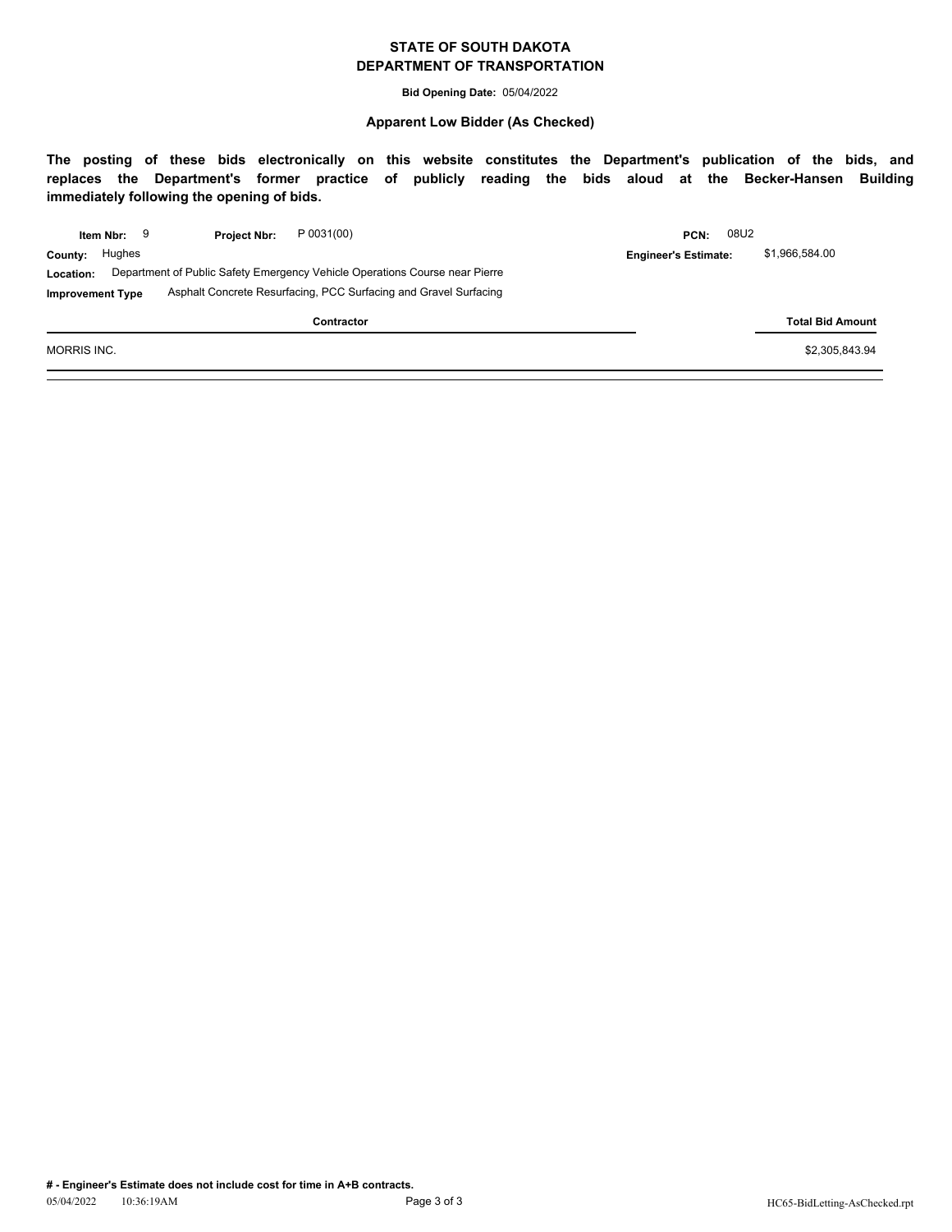### **STATE OF SOUTH DAKOTA DEPARTMENT OF TRANSPORTATION**

**Bid Opening Date:** 05/04/2022

#### **Apparent Low Bidder (As Checked)**

**The posting of these bids electronically on this website constitutes the Department's publication of the bids, and replaces the Department's former practice of publicly reading the bids aloud at the Becker-Hansen Building immediately following the opening of bids.**

|                         | Item Nbr: | <b>Project Nbr:</b> | P 0031(00)                                                                  | PCN:                        | 08U2 |                         |
|-------------------------|-----------|---------------------|-----------------------------------------------------------------------------|-----------------------------|------|-------------------------|
| County:                 | Hughes    |                     |                                                                             | <b>Engineer's Estimate:</b> |      | \$1.966.584.00          |
| Location:               |           |                     | Department of Public Safety Emergency Vehicle Operations Course near Pierre |                             |      |                         |
| <b>Improvement Type</b> |           |                     | Asphalt Concrete Resurfacing, PCC Surfacing and Gravel Surfacing            |                             |      |                         |
|                         |           |                     | Contractor                                                                  |                             |      | <b>Total Bid Amount</b> |

MORRIS INC. \$2,305,843.94  $\sim$  \$2,305,843.94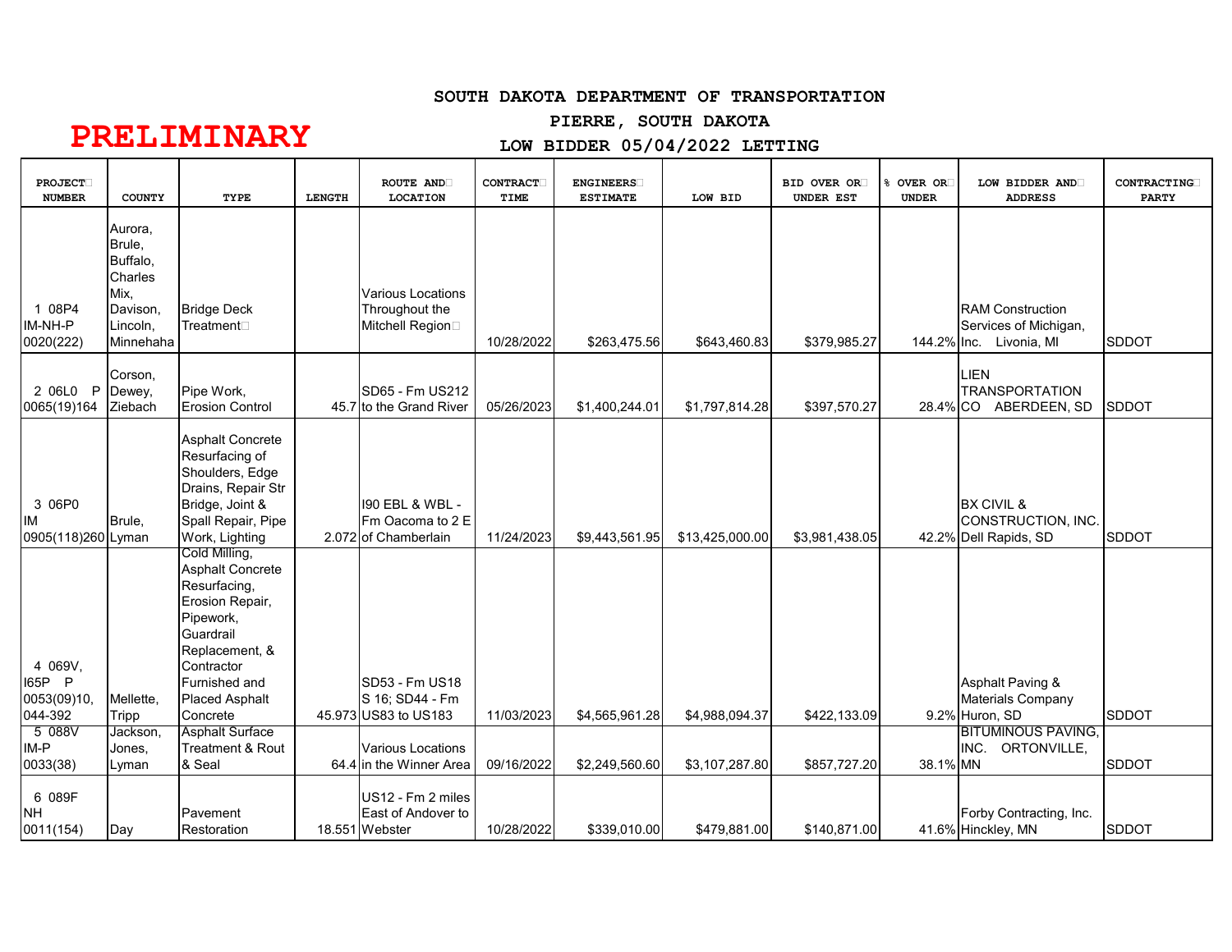### **SOUTH DAKOTA DEPARTMENT OF TRANSPORTATION**

# **PIERRE, SOUTH DAKOTA**

# **PRELIMINARY**

# **LOW BIDDER 05/04/2022 LETTING**

| <b>PROJECT</b><br><b>NUMBER</b>             | <b>COUNTY</b>                                                                         | TYPE                                                                                                                                                                                        | <b>LENGTH</b> | <b>ROUTE AND</b><br><b>LOCATION</b>                            | CONTRACT.<br>TIME | <b>ENGINEERS</b><br><b>ESTIMATE</b> | LOW BID         | BID OVER OR<br>UNDER EST | 8 OVER OR<br><b>UNDER</b> | LOW BIDDER AND<br><b>ADDRESS</b>                                            | <b>CONTRACTING</b><br><b>PARTY</b> |
|---------------------------------------------|---------------------------------------------------------------------------------------|---------------------------------------------------------------------------------------------------------------------------------------------------------------------------------------------|---------------|----------------------------------------------------------------|-------------------|-------------------------------------|-----------------|--------------------------|---------------------------|-----------------------------------------------------------------------------|------------------------------------|
| 1 08P4<br>IM-NH-P<br>0020(222)              | Aurora,<br>Brule,<br>Buffalo,<br>Charles<br>Mix.<br>Davison,<br>Lincoln,<br>Minnehaha | <b>Bridge Deck</b><br>Treatment⊡                                                                                                                                                            |               | <b>Various Locations</b><br>Throughout the<br>Mitchell Region□ | 10/28/2022        | \$263,475.56                        | \$643,460.83    | \$379,985.27             |                           | <b>RAM Construction</b><br>Services of Michigan,<br>144.2% Inc. Livonia, MI | <b>SDDOT</b>                       |
| 2 06L0 P<br>0065(19)164                     | Corson,<br>Dewey,<br>Ziebach                                                          | Pipe Work,<br><b>Erosion Control</b>                                                                                                                                                        |               | SD65 - Fm US212<br>45.7 to the Grand River                     | 05/26/2023        | \$1,400,244.01                      | \$1,797,814.28  | \$397,570.27             |                           | LIEN<br><b>TRANSPORTATION</b><br>28.4% CO ABERDEEN, SD                      | <b>SDDOT</b>                       |
| 3 06P0<br>IМ<br>0905(118)260 Lyman          | Brule,                                                                                | <b>Asphalt Concrete</b><br>Resurfacing of<br>Shoulders, Edge<br>Drains, Repair Str<br>Bridge, Joint &<br>Spall Repair, Pipe<br>Work, Lighting                                               |               | 190 EBL & WBL -<br>Fm Oacoma to 2 E<br>2.072 of Chamberlain    | 11/24/2023        | \$9,443,561.95                      | \$13,425,000.00 | \$3,981,438.05           |                           | <b>BX CIVIL &amp;</b><br>CONSTRUCTION, INC.<br>42.2% Dell Rapids, SD        | <b>SDDOT</b>                       |
| 4 069V,<br>165P P<br>0053(09)10,<br>044-392 | Mellette,<br><b>Tripp</b>                                                             | Cold Milling,<br><b>Asphalt Concrete</b><br>Resurfacing,<br>Erosion Repair,<br>Pipework,<br>Guardrail<br>Replacement, &<br>Contractor<br>Furnished and<br><b>Placed Asphalt</b><br>Concrete |               | SD53 - Fm US18<br>S 16; SD44 - Fm<br>45.973 US83 to US183      | 11/03/2023        | \$4,565,961.28                      | \$4,988,094.37  | \$422,133.09             |                           | Asphalt Paving &<br>Materials Company<br>9.2% Huron, SD                     | <b>SDDOT</b>                       |
| 5 088V<br>IM-P<br>0033(38)                  | Jackson,<br>Jones,<br>Lyman                                                           | <b>Asphalt Surface</b><br>Treatment & Rout<br>& Seal                                                                                                                                        |               | <b>Various Locations</b><br>64.4 in the Winner Area            | 09/16/2022        | \$2,249,560.60                      | \$3,107,287.80  | \$857,727.20             | 38.1% MN                  | <b>BITUMINOUS PAVING,</b><br>INC. ORTONVILLE,                               | <b>SDDOT</b>                       |
| 6 089F<br><b>NH</b><br>0011(154)            | Day                                                                                   | Pavement<br>Restoration                                                                                                                                                                     |               | US12 - Fm 2 miles<br>East of Andover to<br>18.551 Webster      | 10/28/2022        | \$339,010.00                        | \$479,881.00    | \$140,871.00             |                           | Forby Contracting, Inc.<br>41.6% Hinckley, MN                               | <b>SDDOT</b>                       |